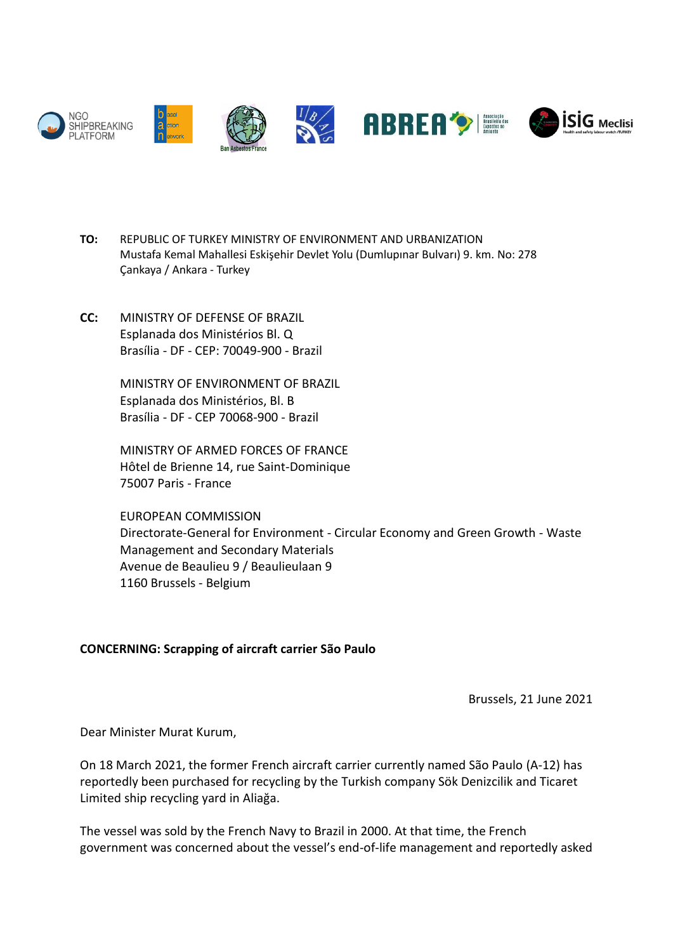

- **TO:** REPUBLIC OF TURKEY MINISTRY OF ENVIRONMENT AND URBANIZATION Mustafa Kemal Mahallesi Eskişehir Devlet Yolu (Dumlupınar Bulvarı) 9. km. No: 278 Çankaya / Ankara - Turkey
- **CC:** MINISTRY OF DEFENSE OF BRAZIL Esplanada dos Ministérios Bl. Q Brasília - DF - CEP: 70049-900 - Brazil

MINISTRY OF ENVIRONMENT OF BRAZIL Esplanada dos Ministérios, Bl. B Brasília - DF - CEP 70068-900 - Brazil

MINISTRY OF ARMED FORCES OF FRANCE Hôtel de Brienne 14, rue Saint-Dominique 75007 Paris - France

EUROPEAN COMMISSION Directorate-General for Environment - Circular Economy and Green Growth - Waste Management and Secondary Materials Avenue de Beaulieu 9 / Beaulieulaan 9 1160 Brussels - Belgium

## **CONCERNING: Scrapping of aircraft carrier São Paulo**

Brussels, 21 June 2021

Dear Minister Murat Kurum,

On 18 March 2021, the former French aircraft carrier currently named São Paulo (A-12) has reportedly been purchased for recycling by the Turkish company Sök Denizcilik and Ticaret Limited ship recycling yard in Aliağa.

The vessel was sold by the French Navy to Brazil in 2000. At that time, the French government was concerned about the vessel's end-of-life management and reportedly asked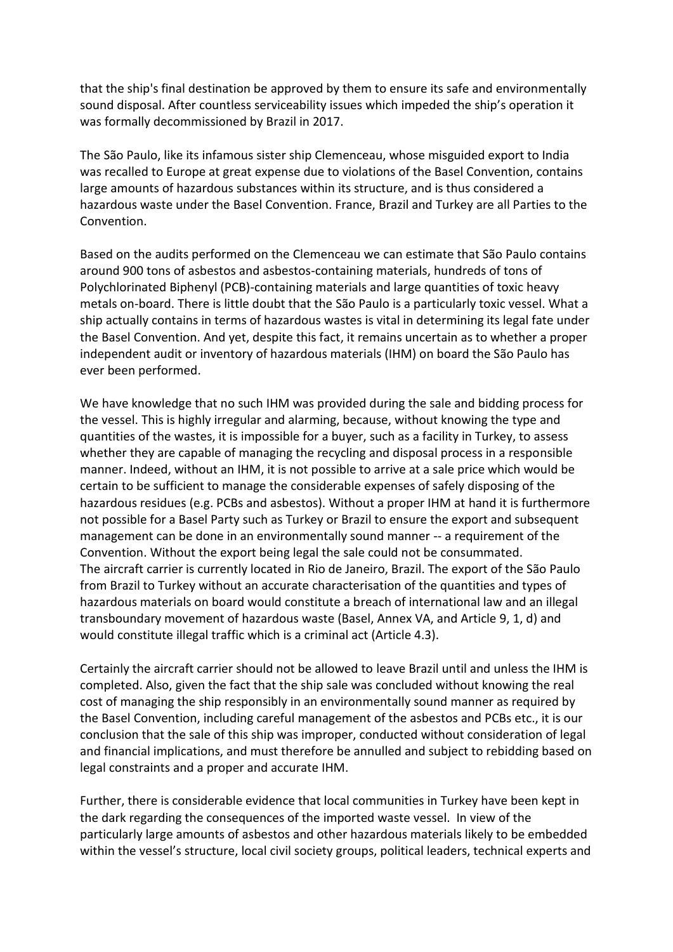that the ship's final destination be approved by them to ensure its safe and environmentally sound disposal. After countless serviceability issues which impeded the ship's operation it was formally decommissioned by Brazil in 2017.

The São Paulo, like its infamous sister ship Clemenceau, whose misguided export to India was recalled to Europe at great expense due to violations of the Basel Convention, contains large amounts of hazardous substances within its structure, and is thus considered a hazardous waste under the Basel Convention. France, Brazil and Turkey are all Parties to the Convention.

Based on the audits performed on the Clemenceau we can estimate that São Paulo contains around 900 tons of asbestos and asbestos-containing materials, hundreds of tons of Polychlorinated Biphenyl (PCB)-containing materials and large quantities of toxic heavy metals on-board. There is little doubt that the São Paulo is a particularly toxic vessel. What a ship actually contains in terms of hazardous wastes is vital in determining its legal fate under the Basel Convention. And yet, despite this fact, it remains uncertain as to whether a proper independent audit or inventory of hazardous materials (IHM) on board the São Paulo has ever been performed.

We have knowledge that no such IHM was provided during the sale and bidding process for the vessel. This is highly irregular and alarming, because, without knowing the type and quantities of the wastes, it is impossible for a buyer, such as a facility in Turkey, to assess whether they are capable of managing the recycling and disposal process in a responsible manner. Indeed, without an IHM, it is not possible to arrive at a sale price which would be certain to be sufficient to manage the considerable expenses of safely disposing of the hazardous residues (e.g. PCBs and asbestos). Without a proper IHM at hand it is furthermore not possible for a Basel Party such as Turkey or Brazil to ensure the export and subsequent management can be done in an environmentally sound manner -- a requirement of the Convention. Without the export being legal the sale could not be consummated. The aircraft carrier is currently located in Rio de Janeiro, Brazil. The export of the São Paulo from Brazil to Turkey without an accurate characterisation of the quantities and types of hazardous materials on board would constitute a breach of international law and an illegal transboundary movement of hazardous waste (Basel, Annex VA, and Article 9, 1, d) and would constitute illegal traffic which is a criminal act (Article 4.3).

Certainly the aircraft carrier should not be allowed to leave Brazil until and unless the IHM is completed. Also, given the fact that the ship sale was concluded without knowing the real cost of managing the ship responsibly in an environmentally sound manner as required by the Basel Convention, including careful management of the asbestos and PCBs etc., it is our conclusion that the sale of this ship was improper, conducted without consideration of legal and financial implications, and must therefore be annulled and subject to rebidding based on legal constraints and a proper and accurate IHM.

Further, there is considerable evidence that local communities in Turkey have been kept in the dark regarding the consequences of the imported waste vessel. In view of the particularly large amounts of asbestos and other hazardous materials likely to be embedded within the vessel's structure, local civil society groups, political leaders, technical experts and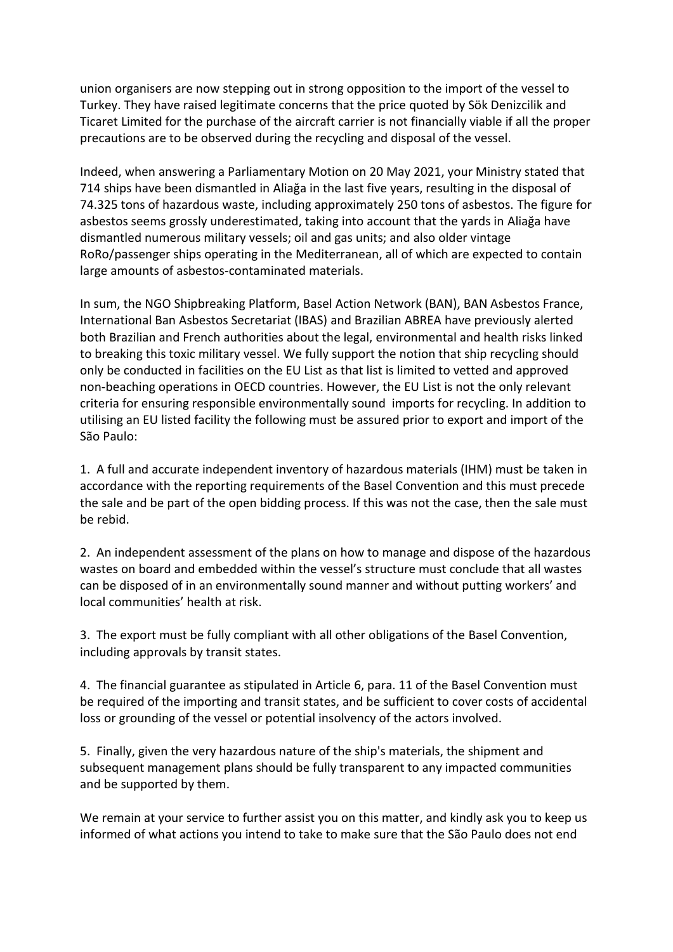union organisers are now stepping out in strong opposition to the import of the vessel to Turkey. They have raised legitimate concerns that the price quoted by Sök Denizcilik and Ticaret Limited for the purchase of the aircraft carrier is not financially viable if all the proper precautions are to be observed during the recycling and disposal of the vessel.

Indeed, when answering a Parliamentary Motion on 20 May 2021, your Ministry stated that 714 ships have been dismantled in Aliağa in the last five years, resulting in the disposal of 74.325 tons of hazardous waste, including approximately 250 tons of asbestos. The figure for asbestos seems grossly underestimated, taking into account that the yards in Aliağa have dismantled numerous military vessels; oil and gas units; and also older vintage RoRo/passenger ships operating in the Mediterranean, all of which are expected to contain large amounts of asbestos-contaminated materials.

In sum, the NGO Shipbreaking Platform, Basel Action Network (BAN), BAN Asbestos France, International Ban Asbestos Secretariat (IBAS) and Brazilian ABREA have previously alerted both Brazilian and French authorities about the legal, environmental and health risks linked to breaking this toxic military vessel. We fully support the notion that ship recycling should only be conducted in facilities on the EU List as that list is limited to vetted and approved non-beaching operations in OECD countries. However, the EU List is not the only relevant criteria for ensuring responsible environmentally sound imports for recycling. In addition to utilising an EU listed facility the following must be assured prior to export and import of the São Paulo:

1. A full and accurate independent inventory of hazardous materials (IHM) must be taken in accordance with the reporting requirements of the Basel Convention and this must precede the sale and be part of the open bidding process. If this was not the case, then the sale must be rebid.

2. An independent assessment of the plans on how to manage and dispose of the hazardous wastes on board and embedded within the vessel's structure must conclude that all wastes can be disposed of in an environmentally sound manner and without putting workers' and local communities' health at risk.

3. The export must be fully compliant with all other obligations of the Basel Convention, including approvals by transit states.

4. The financial guarantee as stipulated in Article 6, para. 11 of the Basel Convention must be required of the importing and transit states, and be sufficient to cover costs of accidental loss or grounding of the vessel or potential insolvency of the actors involved.

5. Finally, given the very hazardous nature of the ship's materials, the shipment and subsequent management plans should be fully transparent to any impacted communities and be supported by them.

We remain at your service to further assist you on this matter, and kindly ask you to keep us informed of what actions you intend to take to make sure that the São Paulo does not end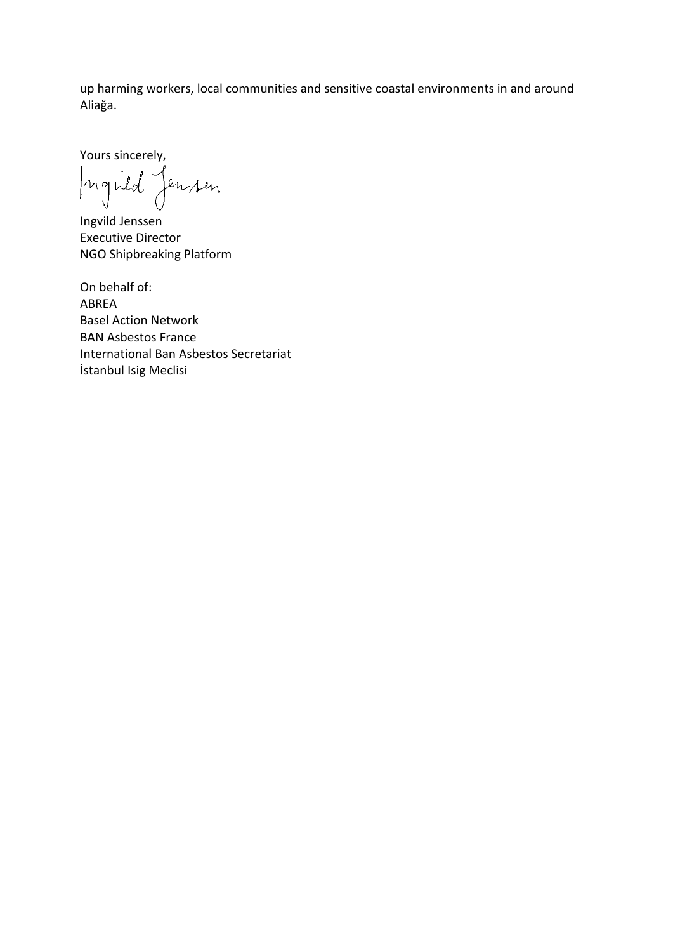up harming workers, local communities and sensitive coastal environments in and around Aliağa.

Yours sincerely,

Inguid Jensien

Ingvild Jenssen Executive Director NGO Shipbreaking Platform

On behalf of: ABREA Basel Action Network BAN Asbestos France International Ban Asbestos Secretariat İstanbul Isig Meclisi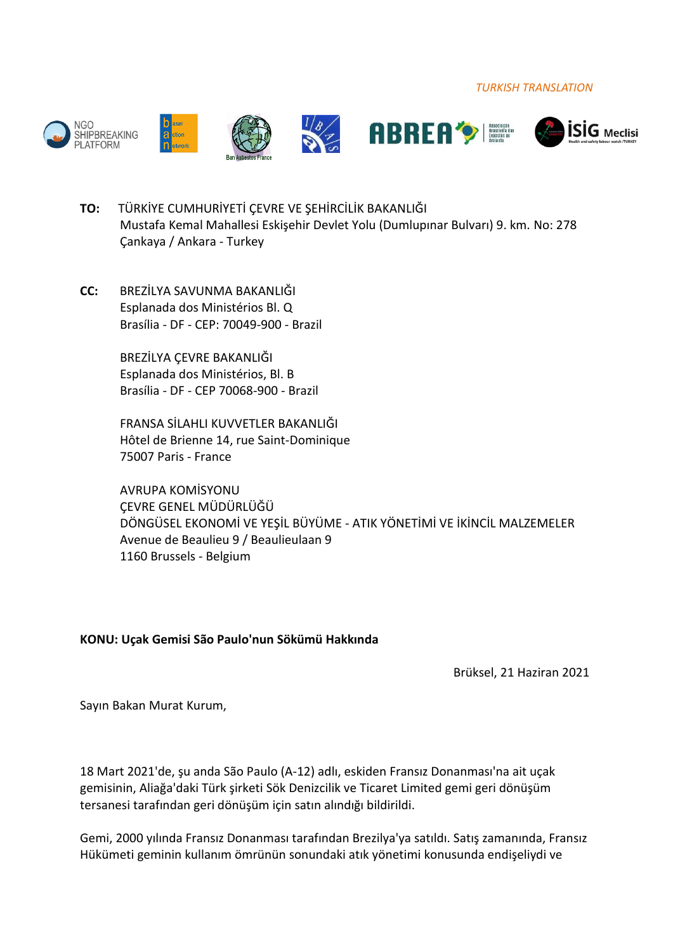*TURKISH TRANSLATION*











- **TO:** TÜRKİYE CUMHURİYETİ ÇEVRE VE ŞEHİRCİLİK BAKANLIĞI Mustafa Kemal Mahallesi Eskişehir Devlet Yolu (Dumlupınar Bulvarı) 9. km. No: 278 Çankaya / Ankara - Turkey
- **CC:** BREZİLYA SAVUNMA BAKANLIĞI Esplanada dos Ministérios Bl. Q Brasília - DF - CEP: 70049-900 - Brazil

BREZİLYA ÇEVRE BAKANLIĞI Esplanada dos Ministérios, Bl. B Brasília - DF - CEP 70068-900 - Brazil

FRANSA SİLAHLI KUVVETLER BAKANLIĞI Hôtel de Brienne 14, rue Saint-Dominique 75007 Paris - France

AVRUPA KOMİSYONU ÇEVRE GENEL MÜDÜRLÜĞÜ DÖNGÜSEL EKONOMİ VE YEŞİL BÜYÜME - ATIK YÖNETİMİ VE İKİNCİL MALZEMELER Avenue de Beaulieu 9 / Beaulieulaan 9 1160 Brussels - Belgium

## **KONU: Uçak Gemisi São Paulo'nun Sökümü Hakkında**

Brüksel, 21 Haziran 2021

Sayın Bakan Murat Kurum,

18 Mart 2021'de, şu anda São Paulo (A-12) adlı, eskiden Fransız Donanması'na ait uçak gemisinin, Aliağa'daki Türk şirketi Sök Denizcilik ve Ticaret Limited gemi geri dönüşüm tersanesi tarafından geri dönüşüm için satın alındığı bildirildi.

Gemi, 2000 yılında Fransız Donanması tarafından Brezilya'ya satıldı. Satış zamanında, Fransız Hükümeti geminin kullanım ömrünün sonundaki atık yönetimi konusunda endişeliydi ve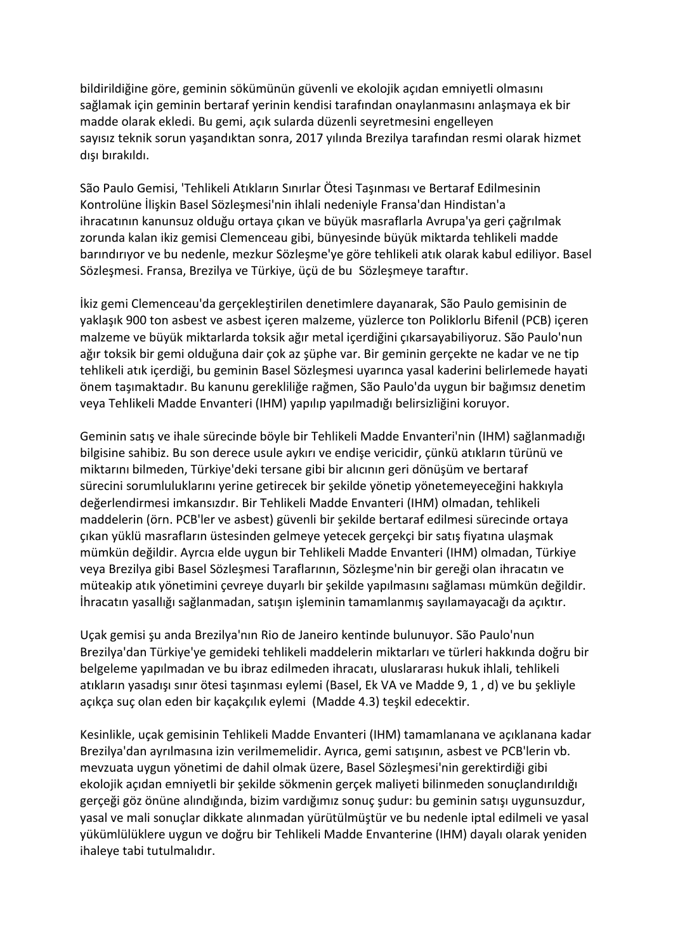bildirildiğine göre, geminin sökümünün güvenli ve ekolojik açıdan emniyetli olmasını sağlamak için geminin bertaraf yerinin kendisi tarafından onaylanmasını anlaşmaya ek bir madde olarak ekledi. Bu gemi, açık sularda düzenli seyretmesini engelleyen sayısız teknik sorun yaşandıktan sonra, 2017 yılında Brezilya tarafından resmi olarak hizmet dışı bırakıldı.

São Paulo Gemisi, 'Tehlikeli Atıkların Sınırlar Ötesi Taşınması ve Bertaraf Edilmesinin Kontrolüne İlişkin Basel Sözleşmesi'nin ihlali nedeniyle Fransa'dan Hindistan'a ihracatının kanunsuz olduğu ortaya çıkan ve büyük masraflarla Avrupa'ya geri çağrılmak zorunda kalan ikiz gemisi Clemenceau gibi, bünyesinde büyük miktarda tehlikeli madde barındırıyor ve bu nedenle, mezkur Sözleşme'ye göre tehlikeli atık olarak kabul ediliyor. Basel Sözleşmesi. Fransa, Brezilya ve Türkiye, üçü de bu Sözleşmeye taraftır.

İkiz gemi Clemenceau'da gerçekleştirilen denetimlere dayanarak, São Paulo gemisinin de yaklaşık 900 ton asbest ve asbest içeren malzeme, yüzlerce ton Poliklorlu Bifenil (PCB) içeren malzeme ve büyük miktarlarda toksik ağır metal içerdiğini çıkarsayabiliyoruz. São Paulo'nun ağır toksik bir gemi olduğuna dair çok az şüphe var. Bir geminin gerçekte ne kadar ve ne tip tehlikeli atık içerdiği, bu geminin Basel Sözleşmesi uyarınca yasal kaderini belirlemede hayati önem taşımaktadır. Bu kanunu gerekliliğe rağmen, São Paulo'da uygun bir bağımsız denetim veya Tehlikeli Madde Envanteri (IHM) yapılıp yapılmadığı belirsizliğini koruyor.

Geminin satış ve ihale sürecinde böyle bir Tehlikeli Madde Envanteri'nin (IHM) sağlanmadığı bilgisine sahibiz. Bu son derece usule aykırı ve endişe vericidir, çünkü atıkların türünü ve miktarını bilmeden, Türkiye'deki tersane gibi bir alıcının geri dönüşüm ve bertaraf sürecini sorumluluklarını yerine getirecek bir şekilde yönetip yönetemeyeceğini hakkıyla değerlendirmesi imkansızdır. Bir Tehlikeli Madde Envanteri (IHM) olmadan, tehlikeli maddelerin (örn. PCB'ler ve asbest) güvenli bir şekilde bertaraf edilmesi sürecinde ortaya çıkan yüklü masrafların üstesinden gelmeye yetecek gerçekçi bir satış fiyatına ulaşmak mümkün değildir. Ayrcıa elde uygun bir Tehlikeli Madde Envanteri (IHM) olmadan, Türkiye veya Brezilya gibi Basel Sözleşmesi Taraflarının, Sözleşme'nin bir gereği olan ihracatın ve müteakip atık yönetimini çevreye duyarlı bir şekilde yapılmasını sağlaması mümkün değildir. İhracatın yasallığı sağlanmadan, satışın işleminin tamamlanmış sayılamayacağı da açıktır.

Uçak gemisi şu anda Brezilya'nın Rio de Janeiro kentinde bulunuyor. São Paulo'nun Brezilya'dan Türkiye'ye gemideki tehlikeli maddelerin miktarları ve türleri hakkında doğru bir belgeleme yapılmadan ve bu ibraz edilmeden ihracatı, uluslararası hukuk ihlali, tehlikeli atıkların yasadışı sınır ötesi taşınması eylemi (Basel, Ek VA ve Madde 9, 1 , d) ve bu şekliyle açıkça suç olan eden bir kaçakçılık eylemi (Madde 4.3) teşkil edecektir.

Kesinlikle, uçak gemisinin Tehlikeli Madde Envanteri (IHM) tamamlanana ve açıklanana kadar Brezilya'dan ayrılmasına izin verilmemelidir. Ayrıca, gemi satışının, asbest ve PCB'lerin vb. mevzuata uygun yönetimi de dahil olmak üzere, Basel Sözleşmesi'nin gerektirdiği gibi ekolojik açıdan emniyetli bir şekilde sökmenin gerçek maliyeti bilinmeden sonuçlandırıldığı gerçeği göz önüne alındığında, bizim vardığımız sonuç şudur: bu geminin satışı uygunsuzdur, yasal ve mali sonuçlar dikkate alınmadan yürütülmüştür ve bu nedenle iptal edilmeli ve yasal yükümlülüklere uygun ve doğru bir Tehlikeli Madde Envanterine (IHM) dayalı olarak yeniden ihaleye tabi tutulmalıdır.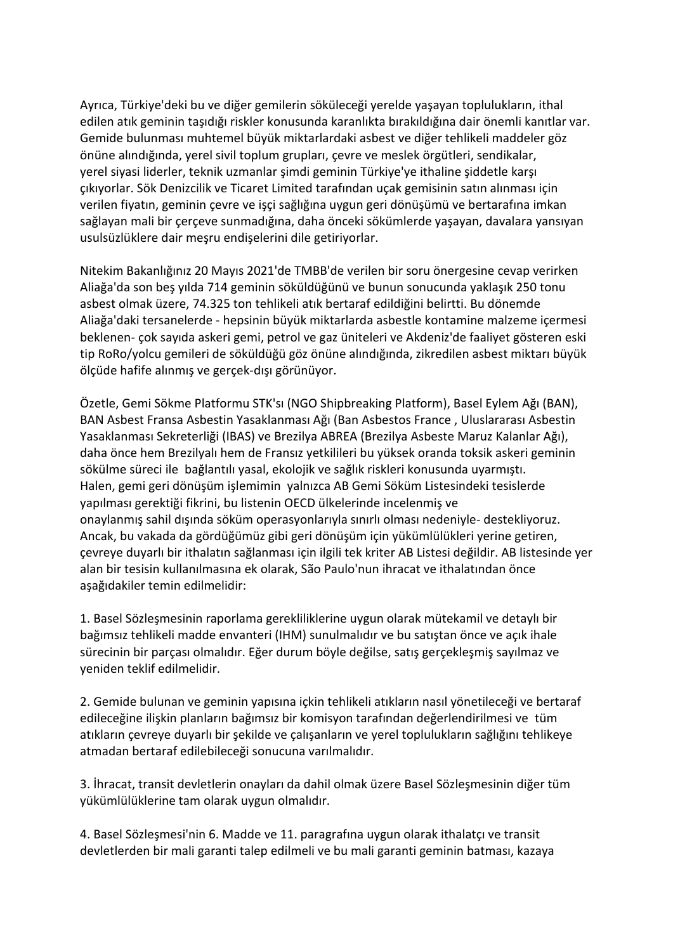Ayrıca, Türkiye'deki bu ve diğer gemilerin söküleceği yerelde yaşayan toplulukların, ithal edilen atık geminin taşıdığı riskler konusunda karanlıkta bırakıldığına dair önemli kanıtlar var. Gemide bulunması muhtemel büyük miktarlardaki asbest ve diğer tehlikeli maddeler göz önüne alındığında, yerel sivil toplum grupları, çevre ve meslek örgütleri, sendikalar, yerel siyasi liderler, teknik uzmanlar şimdi geminin Türkiye'ye ithaline şiddetle karşı çıkıyorlar. Sök Denizcilik ve Ticaret Limited tarafından uçak gemisinin satın alınması için verilen fiyatın, geminin çevre ve işçi sağlığına uygun geri dönüşümü ve bertarafına imkan sağlayan mali bir çerçeve sunmadığına, daha önceki sökümlerde yaşayan, davalara yansıyan usulsüzlüklere dair meşru endişelerini dile getiriyorlar.

Nitekim Bakanlığınız 20 Mayıs 2021'de TMBB'de verilen bir soru önergesine cevap verirken Aliağa'da son beş yılda 714 geminin söküldüğünü ve bunun sonucunda yaklaşık 250 tonu asbest olmak üzere, 74.325 ton tehlikeli atık bertaraf edildiğini belirtti. Bu dönemde Aliağa'daki tersanelerde - hepsinin büyük miktarlarda asbestle kontamine malzeme içermesi beklenen- çok sayıda askeri gemi, petrol ve gaz üniteleri ve Akdeniz'de faaliyet gösteren eski tip RoRo/yolcu gemileri de söküldüğü göz önüne alındığında, zikredilen asbest miktarı büyük ölçüde hafife alınmış ve gerçek-dışı görünüyor.

Özetle, Gemi Sökme Platformu STK'sı (NGO Shipbreaking Platform), Basel Eylem Ağı (BAN), BAN Asbest Fransa Asbestin Yasaklanması Ağı (Ban Asbestos France , Uluslararası Asbestin Yasaklanması Sekreterliği (IBAS) ve Brezilya ABREA (Brezilya Asbeste Maruz Kalanlar Ağı), daha önce hem Brezilyalı hem de Fransız yetkilileri bu yüksek oranda toksik askeri geminin sökülme süreci ile bağlantılı yasal, ekolojik ve sağlık riskleri konusunda uyarmıştı. Halen, gemi geri dönüşüm işlemimin yalnızca AB Gemi Söküm Listesindeki tesislerde yapılması gerektiği fikrini, bu listenin OECD ülkelerinde incelenmiş ve onaylanmış sahil dışında söküm operasyonlarıyla sınırlı olması nedeniyle- destekliyoruz. Ancak, bu vakada da gördüğümüz gibi geri dönüşüm için yükümlülükleri yerine getiren, çevreye duyarlı bir ithalatın sağlanması için ilgili tek kriter AB Listesi değildir. AB listesinde yer alan bir tesisin kullanılmasına ek olarak, São Paulo'nun ihracat ve ithalatından önce aşağıdakiler temin edilmelidir:

1. Basel Sözleşmesinin raporlama gerekliliklerine uygun olarak mütekamil ve detaylı bir bağımsız tehlikeli madde envanteri (IHM) sunulmalıdır ve bu satıştan önce ve açık ihale sürecinin bir parçası olmalıdır. Eğer durum böyle değilse, satış gerçekleşmiş sayılmaz ve yeniden teklif edilmelidir.

2. Gemide bulunan ve geminin yapısına içkin tehlikeli atıkların nasıl yönetileceği ve bertaraf edileceğine ilişkin planların bağımsız bir komisyon tarafından değerlendirilmesi ve tüm atıkların çevreye duyarlı bir şekilde ve çalışanların ve yerel toplulukların sağlığını tehlikeye atmadan bertaraf edilebileceği sonucuna varılmalıdır.

3. İhracat, transit devletlerin onayları da dahil olmak üzere Basel Sözleşmesinin diğer tüm yükümlülüklerine tam olarak uygun olmalıdır.

4. Basel Sözleşmesi'nin 6. Madde ve 11. paragrafına uygun olarak ithalatçı ve transit devletlerden bir mali garanti talep edilmeli ve bu mali garanti geminin batması, kazaya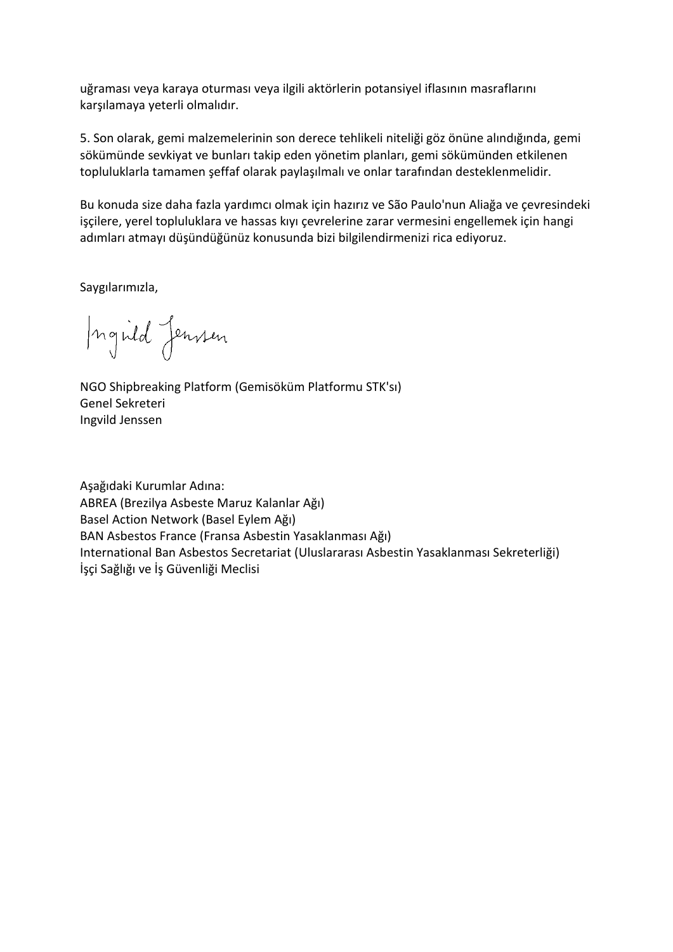uğraması veya karaya oturması veya ilgili aktörlerin potansiyel iflasının masraflarını karşılamaya yeterli olmalıdır.

5. Son olarak, gemi malzemelerinin son derece tehlikeli niteliği göz önüne alındığında, gemi sökümünde sevkiyat ve bunları takip eden yönetim planları, gemi sökümünden etkilenen topluluklarla tamamen şeffaf olarak paylaşılmalı ve onlar tarafından desteklenmelidir.

Bu konuda size daha fazla yardımcı olmak için hazırız ve São Paulo'nun Aliağa ve çevresindeki işçilere, yerel topluluklara ve hassas kıyı çevrelerine zarar vermesini engellemek için hangi adımları atmayı düşündüğünüz konusunda bizi bilgilendirmenizi rica ediyoruz.

Saygılarımızla,

Ingild Jensen

NGO Shipbreaking Platform (Gemisöküm Platformu STK'sı) Genel Sekreteri Ingvild Jenssen

Aşağıdaki Kurumlar Adına: ABREA (Brezilya Asbeste Maruz Kalanlar Ağı) Basel Action Network (Basel Eylem Ağı) BAN Asbestos France (Fransa Asbestin Yasaklanması Ağı) International Ban Asbestos Secretariat (Uluslararası Asbestin Yasaklanması Sekreterliği) İşçi Sağlığı ve İş Güvenliği Meclisi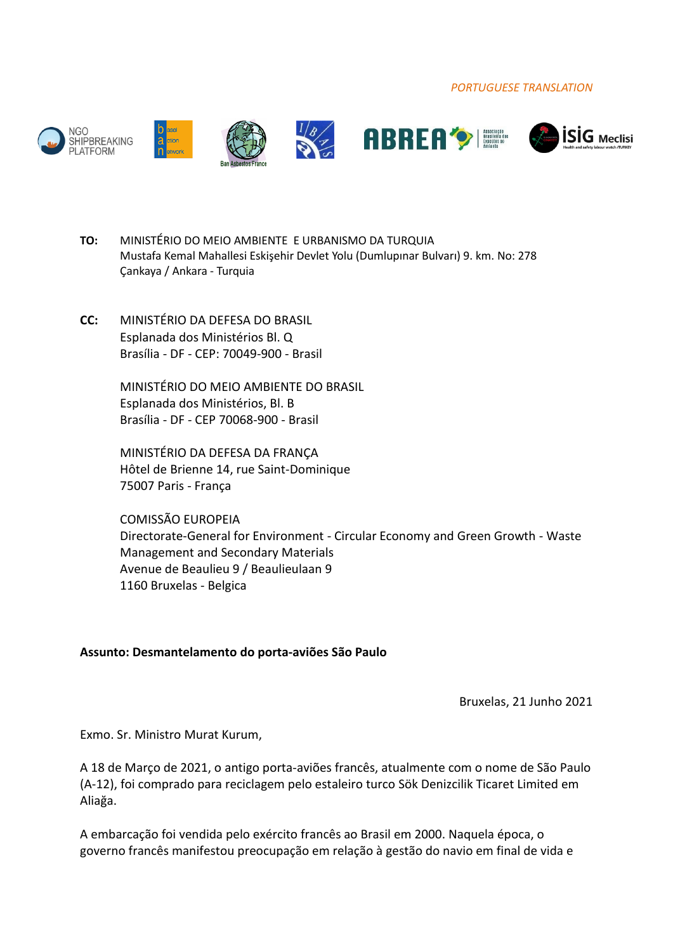*PORTUGUESE TRANSLATION*











- **TO:** MINISTÉRIO DO MEIO AMBIENTE E URBANISMO DA TURQUIA Mustafa Kemal Mahallesi Eskişehir Devlet Yolu (Dumlupınar Bulvarı) 9. km. No: 278 Çankaya / Ankara - Turquia
- **CC:** MINISTÉRIO DA DEFESA DO BRASIL Esplanada dos Ministérios Bl. Q Brasília - DF - CEP: 70049-900 - Brasil

MINISTÉRIO DO MEIO AMBIENTE DO BRASIL Esplanada dos Ministérios, Bl. B Brasília - DF - CEP 70068-900 - Brasil

MINISTÉRIO DA DEFESA DA FRANÇA Hôtel de Brienne 14, rue Saint-Dominique 75007 Paris - França

COMISSÃO EUROPEIA Directorate-General for Environment - Circular Economy and Green Growth - Waste Management and Secondary Materials Avenue de Beaulieu 9 / Beaulieulaan 9 1160 Bruxelas - Belgica

## **Assunto: Desmantelamento do porta-aviões São Paulo**

Bruxelas, 21 Junho 2021

Exmo. Sr. Ministro Murat Kurum,

A 18 de Março de 2021, o antigo porta-aviões francês, atualmente com o nome de São Paulo (A-12), foi comprado para reciclagem pelo estaleiro turco Sök Denizcilik Ticaret Limited em Aliağa.

A embarcação foi vendida pelo exército francês ao Brasil em 2000. Naquela época, o governo francês manifestou preocupação em relação à gestão do navio em final de vida e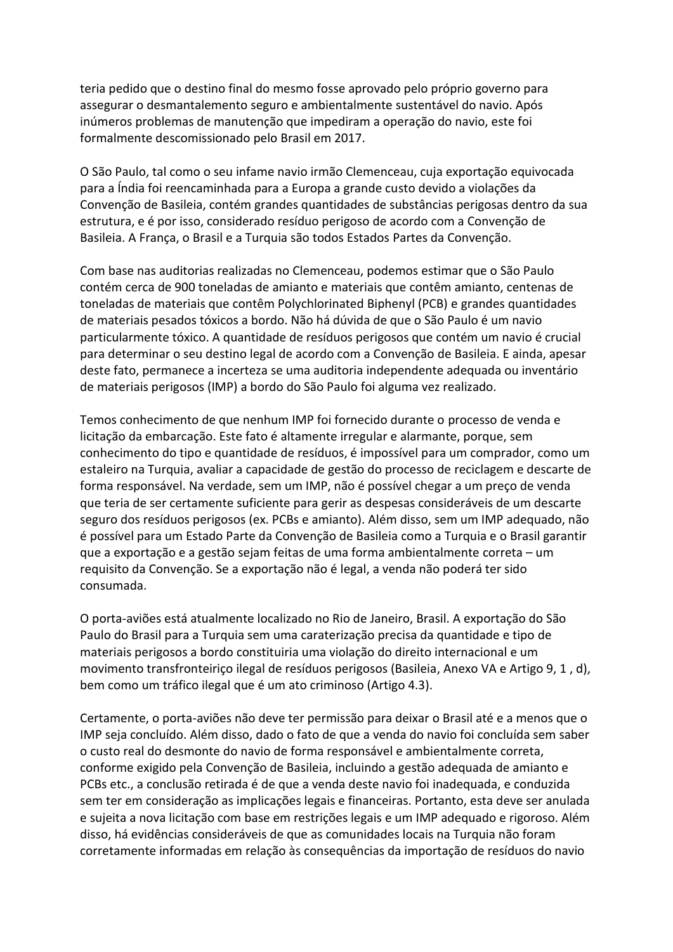teria pedido que o destino final do mesmo fosse aprovado pelo próprio governo para assegurar o desmantalemento seguro e ambientalmente sustentável do navio. Após inúmeros problemas de manutenção que impediram a operação do navio, este foi formalmente descomissionado pelo Brasil em 2017.

O São Paulo, tal como o seu infame navio irmão Clemenceau, cuja exportação equivocada para a Índia foi reencaminhada para a Europa a grande custo devido a violações da Convenção de Basileia, contém grandes quantidades de substâncias perigosas dentro da sua estrutura, e é por isso, considerado resíduo perigoso de acordo com a Convenção de Basileia. A França, o Brasil e a Turquia são todos Estados Partes da Convenção.

Com base nas auditorias realizadas no Clemenceau, podemos estimar que o São Paulo contém cerca de 900 toneladas de amianto e materiais que contêm amianto, centenas de toneladas de materiais que contêm Polychlorinated Biphenyl (PCB) e grandes quantidades de materiais pesados tóxicos a bordo. Não há dúvida de que o São Paulo é um navio particularmente tóxico. A quantidade de resíduos perigosos que contém um navio é crucial para determinar o seu destino legal de acordo com a Convenção de Basileia. E ainda, apesar deste fato, permanece a incerteza se uma auditoria independente adequada ou inventário de materiais perigosos (IMP) a bordo do São Paulo foi alguma vez realizado.

Temos conhecimento de que nenhum IMP foi fornecido durante o processo de venda e licitação da embarcação. Este fato é altamente irregular e alarmante, porque, sem conhecimento do tipo e quantidade de resíduos, é impossível para um comprador, como um estaleiro na Turquia, avaliar a capacidade de gestão do processo de reciclagem e descarte de forma responsável. Na verdade, sem um IMP, não é possível chegar a um preço de venda que teria de ser certamente suficiente para gerir as despesas consideráveis de um descarte seguro dos resíduos perigosos (ex. PCBs e amianto). Além disso, sem um IMP adequado, não é possível para um Estado Parte da Convenção de Basileia como a Turquia e o Brasil garantir que a exportação e a gestão sejam feitas de uma forma ambientalmente correta – um requisito da Convenção. Se a exportação não é legal, a venda não poderá ter sido consumada.

O porta-aviões está atualmente localizado no Rio de Janeiro, Brasil. A exportação do São Paulo do Brasil para a Turquia sem uma caraterização precisa da quantidade e tipo de materiais perigosos a bordo constituiria uma violação do direito internacional e um movimento transfronteiriço ilegal de resíduos perigosos (Basileia, Anexo VA e Artigo 9, 1 , d), bem como um tráfico ilegal que é um ato criminoso (Artigo 4.3).

Certamente, o porta-aviões não deve ter permissão para deixar o Brasil até e a menos que o IMP seja concluído. Além disso, dado o fato de que a venda do navio foi concluída sem saber o custo real do desmonte do navio de forma responsável e ambientalmente correta, conforme exigido pela Convenção de Basileia, incluindo a gestão adequada de amianto e PCBs etc., a conclusão retirada é de que a venda deste navio foi inadequada, e conduzida sem ter em consideração as implicações legais e financeiras. Portanto, esta deve ser anulada e sujeita a nova licitação com base em restrições legais e um IMP adequado e rigoroso. Além disso, há evidências consideráveis de que as comunidades locais na Turquia não foram corretamente informadas em relação às consequências da importação de resíduos do navio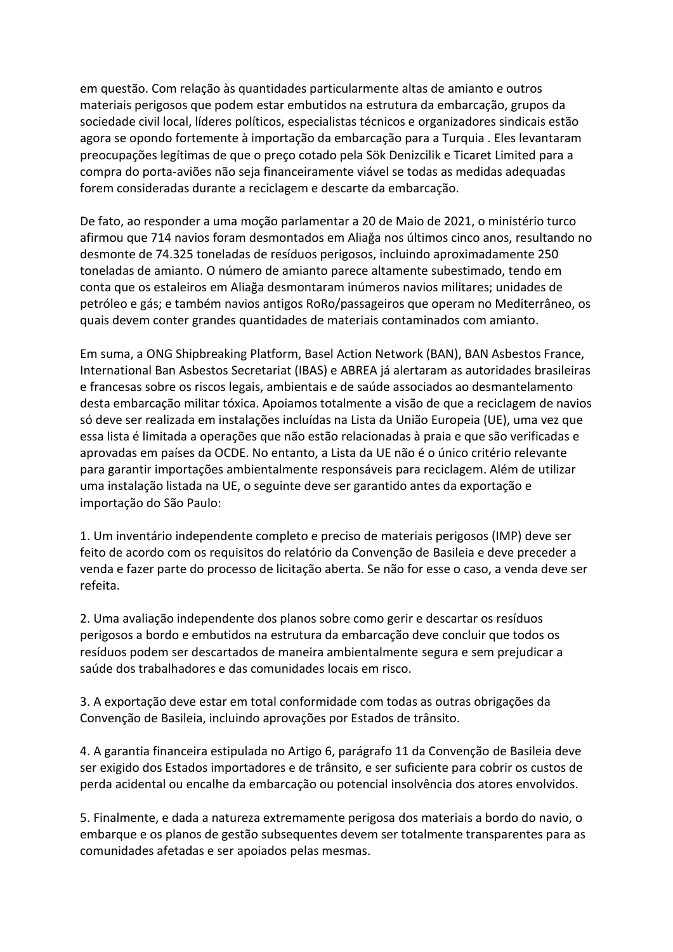em questão. Com relação às quantidades particularmente altas de amianto e outros materiais perigosos que podem estar embutidos na estrutura da embarcação, grupos da sociedade civil local, líderes políticos, especialistas técnicos e organizadores sindicais estão agora se opondo fortemente à importação da embarcação para a Turquia . Eles levantaram preocupações legítimas de que o preço cotado pela Sök Denizcilik e Ticaret Limited para a compra do porta-aviões não seja financeiramente viável se todas as medidas adequadas forem consideradas durante a reciclagem e descarte da embarcação.

De fato, ao responder a uma moção parlamentar a 20 de Maio de 2021, o ministério turco afirmou que 714 navios foram desmontados em Aliağa nos últimos cinco anos, resultando no desmonte de 74.325 toneladas de resíduos perigosos, incluindo aproximadamente 250 toneladas de amianto. O número de amianto parece altamente subestimado, tendo em conta que os estaleiros em Aliağa desmontaram inúmeros navios militares; unidades de petróleo e gás; e também navios antigos RoRo/passageiros que operam no Mediterrâneo, os quais devem conter grandes quantidades de materiais contaminados com amianto.

Em suma, a ONG Shipbreaking Platform, Basel Action Network (BAN), BAN Asbestos France, International Ban Asbestos Secretariat (IBAS) e ABREA já alertaram as autoridades brasileiras e francesas sobre os riscos legais, ambientais e de saúde associados ao desmantelamento desta embarcação militar tóxica. Apoiamos totalmente a visão de que a reciclagem de navios só deve ser realizada em instalações incluídas na Lista da União Europeia (UE), uma vez que essa lista é limitada a operações que não estão relacionadas à praia e que são verificadas e aprovadas em países da OCDE. No entanto, a Lista da UE não é o único critério relevante para garantir importações ambientalmente responsáveis para reciclagem. Além de utilizar uma instalação listada na UE, o seguinte deve ser garantido antes da exportação e importação do São Paulo:

1. Um inventário independente completo e preciso de materiais perigosos (IMP) deve ser feito de acordo com os requisitos do relatório da Convenção de Basileia e deve preceder a venda e fazer parte do processo de licitação aberta. Se não for esse o caso, a venda deve ser refeita.

2. Uma avaliação independente dos planos sobre como gerir e descartar os resíduos perigosos a bordo e embutidos na estrutura da embarcação deve concluir que todos os resíduos podem ser descartados de maneira ambientalmente segura e sem prejudicar a saúde dos trabalhadores e das comunidades locais em risco.

3. A exportação deve estar em total conformidade com todas as outras obrigações da Convenção de Basileia, incluindo aprovações por Estados de trânsito.

4. A garantia financeira estipulada no Artigo 6, parágrafo 11 da Convenção de Basileia deve ser exigido dos Estados importadores e de trânsito, e ser suficiente para cobrir os custos de perda acidental ou encalhe da embarcação ou potencial insolvência dos atores envolvidos.

5. Finalmente, e dada a natureza extremamente perigosa dos materiais a bordo do navio, o embarque e os planos de gestão subsequentes devem ser totalmente transparentes para as comunidades afetadas e ser apoiados pelas mesmas.